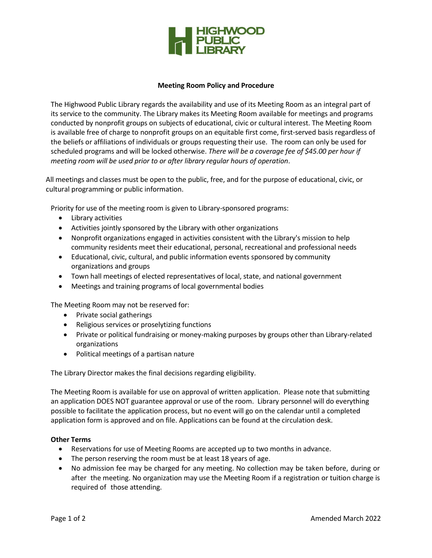

## **Meeting Room Policy and Procedure**

The Highwood Public Library regards the availability and use of its Meeting Room as an integral part of its service to the community. The Library makes its Meeting Room available for meetings and programs conducted by nonprofit groups on subjects of educational, civic or cultural interest. The Meeting Room is available free of charge to nonprofit groups on an equitable first come, first-served basis regardless of the beliefs or affiliations of individuals or groups requesting their use. The room can only be used for scheduled programs and will be locked otherwise. *There will be a coverage fee of \$45.00 per hour if meeting room will be used prior to or after library regular hours of operation*.

All meetings and classes must be open to the public, free, and for the purpose of educational, civic, or cultural programming or public information.

Priority for use of the meeting room is given to Library-sponsored programs:

- Library activities
- Activities jointly sponsored by the Library with other organizations
- Nonprofit organizations engaged in activities consistent with the Library's mission to help community residents meet their educational, personal, recreational and professional needs
- Educational, civic, cultural, and public information events sponsored by community organizations and groups
- Town hall meetings of elected representatives of local, state, and national government
- Meetings and training programs of local governmental bodies

The Meeting Room may not be reserved for:

- Private social gatherings
- Religious services or proselytizing functions
- Private or political fundraising or money-making purposes by groups other than Library-related organizations
- Political meetings of a partisan nature

The Library Director makes the final decisions regarding eligibility.

The Meeting Room is available for use on approval of written application. Please note that submitting an application DOES NOT guarantee approval or use of the room. Library personnel will do everything possible to facilitate the application process, but no event will go on the calendar until a completed application form is approved and on file. Applications can be found at the circulation desk.

## **Other Terms**

- Reservations for use of Meeting Rooms are accepted up to two months in advance.
- The person reserving the room must be at least 18 years of age.
- No admission fee may be charged for any meeting. No collection may be taken before, during or after the meeting. No organization may use the Meeting Room if a registration or tuition charge is required of those attending.